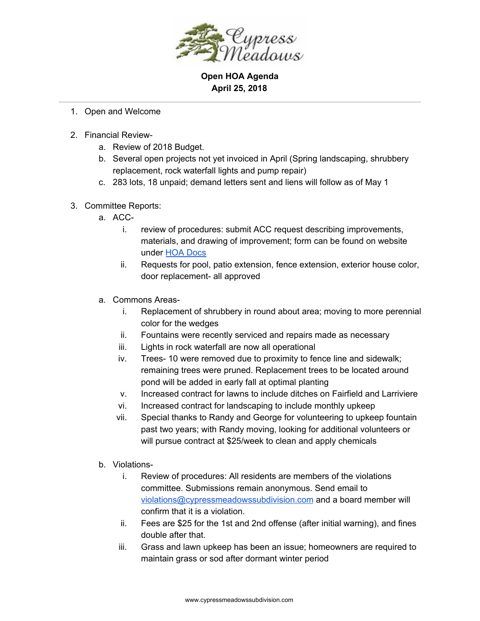

**Open HOA Agenda April 25, 2018**

- 1. Open and Welcome
- 2. Financial Review
	- a. Review of 2018 Budget.
	- b. Several open projects not yet invoiced in April (Spring landscaping, shrubbery replacement, rock waterfall lights and pump repair)
	- c. 283 lots, 18 unpaid; demand letters sent and liens will follow as of May 1
- 3. Committee Reports:
	- a. ACC
		- i. review of procedures: submit ACC request describing improvements, materials, and drawing of improvement; form can be found on website under HOA [Docs](http://www.cypressmeadowssubdivision.com/hoa-docs/)
		- ii. Requests for pool, patio extension, fence extension, exterior house color, door replacement- all approved
	- a. Commons Areas
		- i. Replacement of shrubbery in round about area; moving to more perennial color for the wedges
		- ii. Fountains were recently serviced and repairs made as necessary
		- iii. Lights in rock waterfall are now all operational
		- iv. Trees- 10 were removed due to proximity to fence line and sidewalk; remaining trees were pruned. Replacement trees to be located around pond will be added in early fall at optimal planting
		- v. Increased contract for lawns to include ditches on Fairfield and Larriviere
		- vi. Increased contract for landscaping to include monthly upkeep
		- vii. Special thanks to Randy and George for volunteering to upkeep fountain past two years; with Randy moving, looking for additional volunteers or will pursue contract at \$25/week to clean and apply chemicals
	- b. Violations
		- i. Review of procedures: All residents are members of the violations committee. Submissions remain anonymous. Send email to [violations@cypressmeadowssubdivision.com](mailto:violations@cypressmeadowssubdivision.com) and a board member will confirm that it is a violation.
		- ii. Fees are \$25 for the 1st and 2nd offense (after initial warning), and fines double after that.
		- iii. Grass and lawn upkeep has been an issue; homeowners are required to maintain grass or sod after dormant winter period